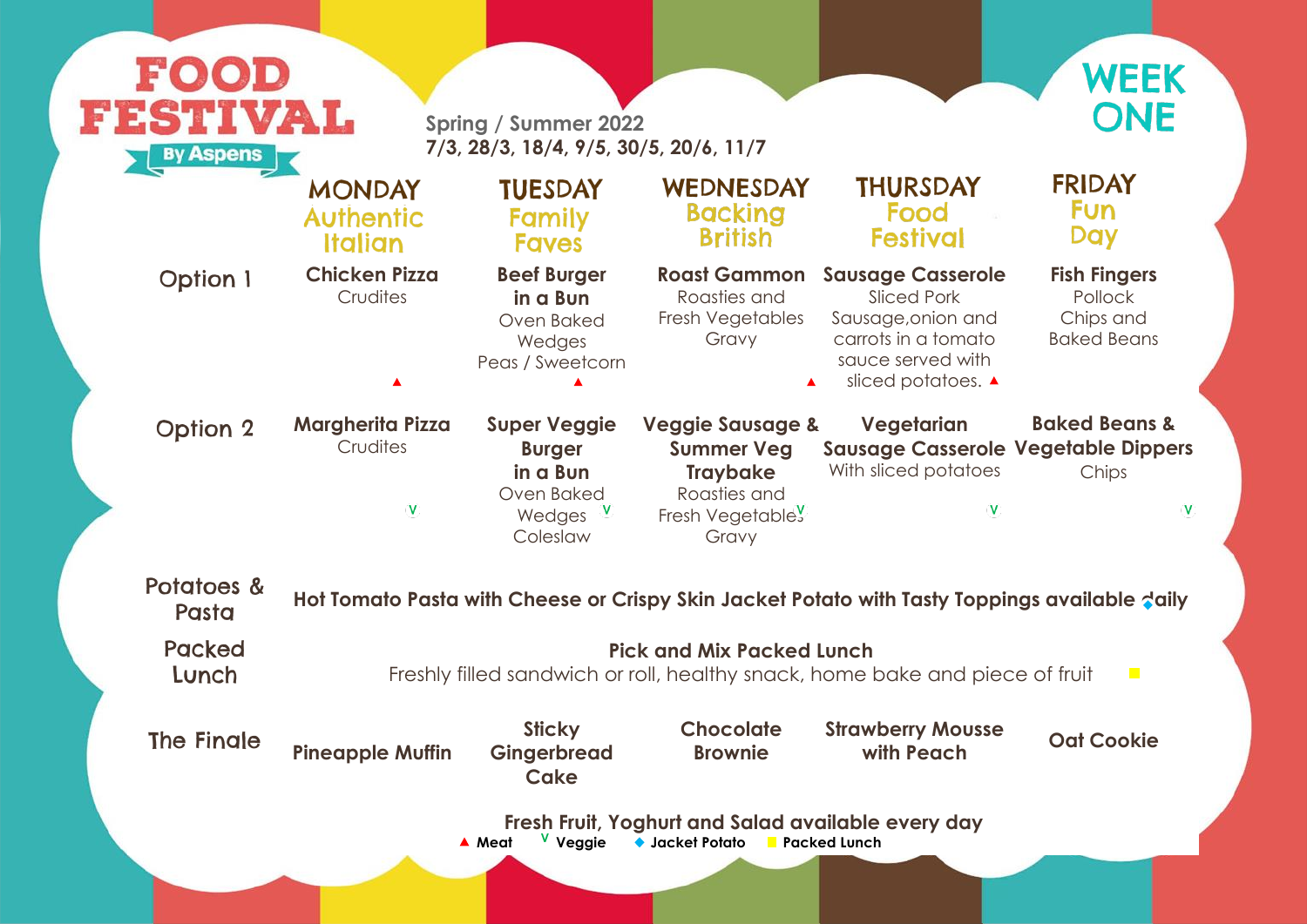**Fish Fingers** Pollock Chips and Baked Beans

| FOOD<br>FESTIVAL<br><b>By Aspens</b> |                                                                                                        | <b>Spring / Summer 2022</b><br>7/3, 28/3, 18/4, 9/5, 30/5, 20/6, 11/7                |                                                                                                                  |                                                                                                                                        |  |  |
|--------------------------------------|--------------------------------------------------------------------------------------------------------|--------------------------------------------------------------------------------------|------------------------------------------------------------------------------------------------------------------|----------------------------------------------------------------------------------------------------------------------------------------|--|--|
|                                      | <b>MONDAY</b><br><b>Authentic</b><br><b>Italian</b>                                                    | <b>TUESDAY</b><br><b>Family</b><br><b>Faves</b>                                      | WEDNESDAY<br><b>Backing</b><br><b>British</b>                                                                    | <b>THURSDAY</b><br>Food<br><b>Festival</b>                                                                                             |  |  |
| <b>Option 1</b>                      | <b>Chicken Pizza</b><br>Crudites                                                                       | <b>Beef Burger</b><br>in a Bun<br>Oven Baked<br>Wedges<br>Peas / Sweetcorn           | <b>Roast Gammon</b><br>Roasties and<br>Fresh Vegetables<br>Gravy                                                 | <b>Sausage Casserole</b><br><b>Sliced Pork</b><br>Sausage, onion and<br>carrots in a tomato<br>sauce served with<br>sliced potatoes. ▲ |  |  |
| <b>Option 2</b>                      | <b>Margherita Pizza</b><br>Crudites<br>v                                                               | <b>Super Veggie</b><br><b>Burger</b><br>in a Bun<br>Oven Baked<br>Wedges<br>Coleslaw | <b>Veggie Sausage &amp;</b><br><b>Summer Veg</b><br><b>Traybake</b><br>Roasties and<br>Fresh Vegetabley<br>Gravy | Vegetarian<br><b>Sausage Casserole</b><br>With sliced potatoes<br>$\mathbf{V}$                                                         |  |  |
| Potatoes &<br>Pasta                  |                                                                                                        |                                                                                      |                                                                                                                  | Hot Tomato Pasta with Cheese or Crispy Skin Jacket Potato with Tasty Toppi                                                             |  |  |
| <b>Packed</b><br>Lunch               | <b>Pick and Mix Packed Lunch</b><br>Freshly filled sandwich or roll, healthy snack, home bake and pied |                                                                                      |                                                                                                                  |                                                                                                                                        |  |  |
| The Finale                           | <b>Pineapple Muffin</b>                                                                                | <b>Sticky</b><br>Gingerbread<br><b>Cake</b>                                          | <b>Chocolate</b><br><b>Brownie</b>                                                                               | <b>Strawberry Mousse</b><br>with Peach                                                                                                 |  |  |
|                                      |                                                                                                        | V Veggie<br>▲ Meat                                                                   | Fresh Fruit, Yoghurt and Salad available every day<br>◆ Jacket Potato Facked Lunch                               |                                                                                                                                        |  |  |
|                                      |                                                                                                        |                                                                                      |                                                                                                                  |                                                                                                                                        |  |  |





#### **Baked Beans & Vegetable Dippers** Chips

 $\mathbf V$ 

## pings available <mark>d</mark>aily

 $\sim$ 

ece of fruit

## **with Peach Oat Cookie**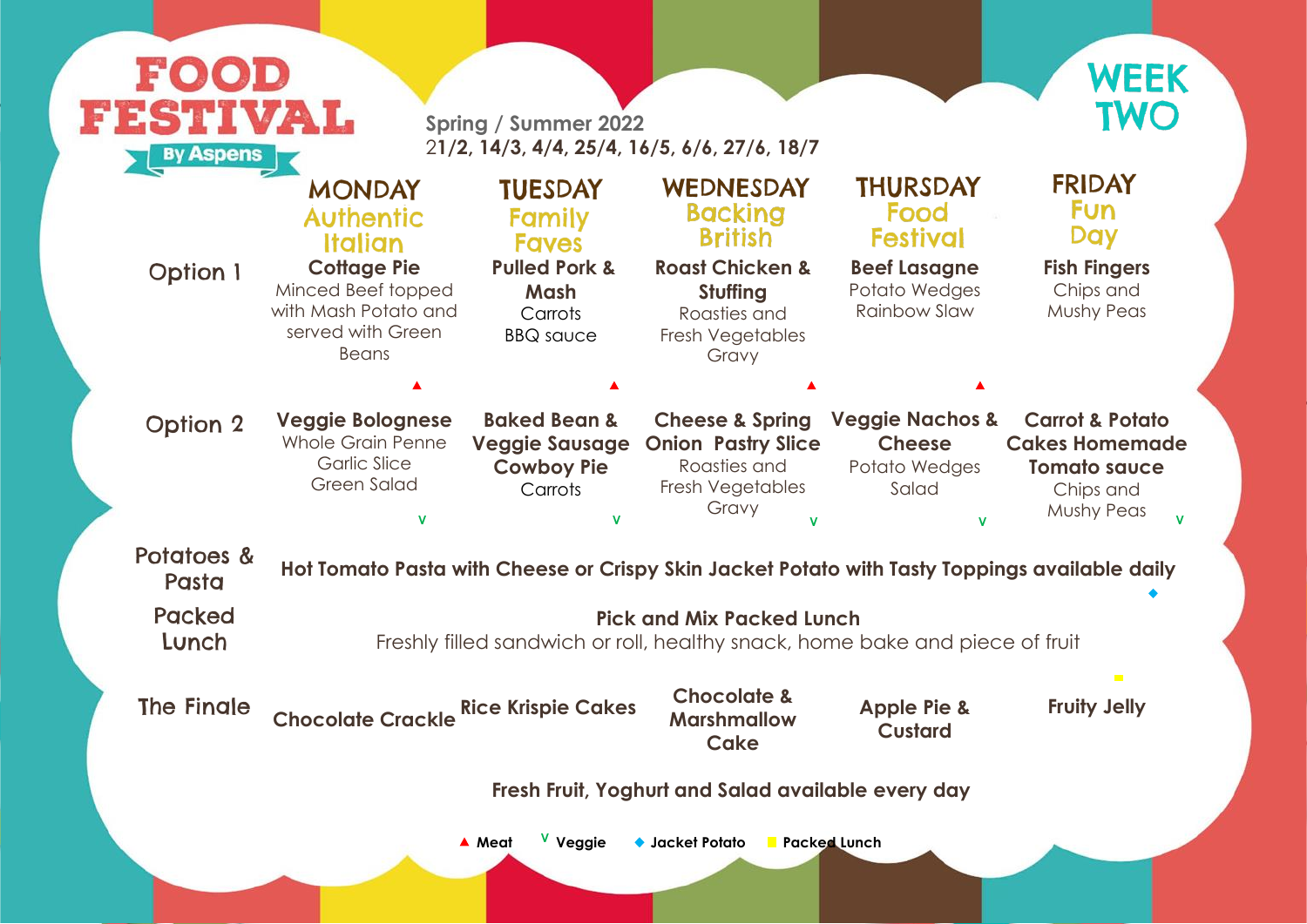

| <b>By Aspens</b>       |                                                                                                                  |                                                                                  | 21/2, 14/3, 4/4, 25/4, 16/5, 6/6, 27/6, 18/7                                                                     |                                                                       |                                                                                                              |
|------------------------|------------------------------------------------------------------------------------------------------------------|----------------------------------------------------------------------------------|------------------------------------------------------------------------------------------------------------------|-----------------------------------------------------------------------|--------------------------------------------------------------------------------------------------------------|
|                        | <b>MONDAY</b><br><b>Authentic</b><br><b>Italian</b>                                                              | <b>TUESDAY</b><br><b>Family</b><br><b>Faves</b>                                  | WEDNESDAY<br><b>Backing</b><br><b>British</b>                                                                    | <b>THURSDAY</b><br>Food<br><b>Festival</b>                            | <b>FRIDAY</b><br><b>Fun</b><br><b>Day</b>                                                                    |
| <b>Option 1</b>        | <b>Cottage Pie</b><br>Minced Beef topped<br>with Mash Potato and<br>served with Green<br>Beans                   | <b>Pulled Pork &amp;</b><br>Mash<br>Carrots<br><b>BBQ</b> sauce                  | <b>Roast Chicken &amp;</b><br>Stuffing<br>Roasties and<br>Fresh Vegetables<br>Gravy                              | <b>Beef Lasagne</b><br>Potato Wedges<br><b>Rainbow Slaw</b>           | <b>Fish Fingers</b><br>Chips and<br><b>Mushy Peas</b>                                                        |
|                        |                                                                                                                  |                                                                                  |                                                                                                                  |                                                                       |                                                                                                              |
| <b>Option 2</b>        | <b>Veggie Bolognese</b><br><b>Whole Grain Penne</b><br><b>Garlic Slice</b><br><b>Green Salad</b><br>$\mathbf{V}$ | <b>Baked Bean &amp;</b><br><b>Veggie Sausage</b><br><b>Cowboy Pie</b><br>Carrots | <b>Cheese &amp; Spring</b><br><b>Onion Pastry Slice</b><br>Roasties and<br>Fresh Vegetables<br>Gravy             | <b>Veggie Nachos &amp;</b><br><b>Cheese</b><br>Potato Wedges<br>Salad | <b>Carrot &amp; Potato</b><br><b>Cakes Homemade</b><br><b>Tomato sauce</b><br>Chips and<br><b>Mushy Peas</b> |
| Potatoes &<br>Pasta    | Hot Tomato Pasta with Cheese or Crispy Skin Jacket Potato with Tasty Toppings available daily                    |                                                                                  |                                                                                                                  |                                                                       |                                                                                                              |
| <b>Packed</b><br>Lunch |                                                                                                                  |                                                                                  | <b>Pick and Mix Packed Lunch</b><br>Freshly filled sandwich or roll, healthy snack, home bake and piece of fruit |                                                                       |                                                                                                              |
| The Finale             | <b>Chocolate Crackle Rice Krispie Cakes</b>                                                                      |                                                                                  | <b>Chocolate &amp;</b><br><b>Marshmallow</b><br>Cake                                                             | <b>Apple Pie &amp;</b><br><b>Custard</b>                              | $\overline{\phantom{a}}$<br><b>Fruity Jelly</b>                                                              |
|                        |                                                                                                                  |                                                                                  | Fresh Fruit, Yoghurt and Salad available every day                                                               |                                                                       |                                                                                                              |